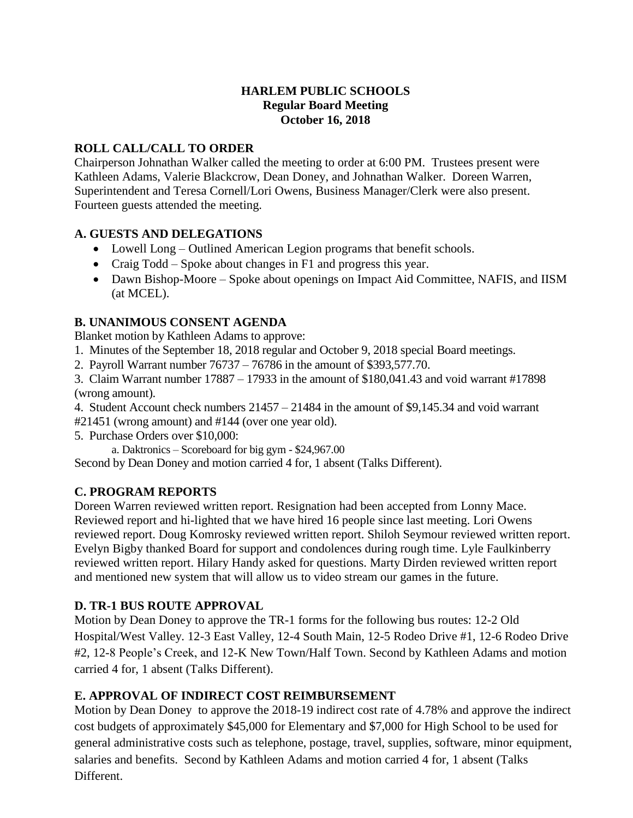## **HARLEM PUBLIC SCHOOLS Regular Board Meeting October 16, 2018**

# **ROLL CALL/CALL TO ORDER**

Chairperson Johnathan Walker called the meeting to order at 6:00 PM. Trustees present were Kathleen Adams, Valerie Blackcrow, Dean Doney, and Johnathan Walker. Doreen Warren, Superintendent and Teresa Cornell/Lori Owens, Business Manager/Clerk were also present. Fourteen guests attended the meeting.

# **A. GUESTS AND DELEGATIONS**

- Lowell Long Outlined American Legion programs that benefit schools.
- Craig Todd Spoke about changes in F1 and progress this year.
- Dawn Bishop-Moore Spoke about openings on Impact Aid Committee, NAFIS, and IISM (at MCEL).

# **B. UNANIMOUS CONSENT AGENDA**

Blanket motion by Kathleen Adams to approve:

- 1. Minutes of the September 18, 2018 regular and October 9, 2018 special Board meetings.
- 2. Payroll Warrant number 76737 76786 in the amount of \$393,577.70.

3. Claim Warrant number 17887 – 17933 in the amount of \$180,041.43 and void warrant #17898 (wrong amount).

- 4. Student Account check numbers 21457 21484 in the amount of \$9,145.34 and void warrant
- #21451 (wrong amount) and #144 (over one year old).
- 5. Purchase Orders over \$10,000:

a. Daktronics – Scoreboard for big gym - \$24,967.00

Second by Dean Doney and motion carried 4 for, 1 absent (Talks Different).

## **C. PROGRAM REPORTS**

Doreen Warren reviewed written report. Resignation had been accepted from Lonny Mace. Reviewed report and hi-lighted that we have hired 16 people since last meeting. Lori Owens reviewed report. Doug Komrosky reviewed written report. Shiloh Seymour reviewed written report. Evelyn Bigby thanked Board for support and condolences during rough time. Lyle Faulkinberry reviewed written report. Hilary Handy asked for questions. Marty Dirden reviewed written report and mentioned new system that will allow us to video stream our games in the future.

# **D. TR-1 BUS ROUTE APPROVAL**

Motion by Dean Doney to approve the TR-1 forms for the following bus routes: 12-2 Old Hospital/West Valley. 12-3 East Valley, 12-4 South Main, 12-5 Rodeo Drive #1, 12-6 Rodeo Drive #2, 12-8 People's Creek, and 12-K New Town/Half Town. Second by Kathleen Adams and motion carried 4 for, 1 absent (Talks Different).

## **E. APPROVAL OF INDIRECT COST REIMBURSEMENT**

Motion by Dean Doney to approve the 2018-19 indirect cost rate of 4.78% and approve the indirect cost budgets of approximately \$45,000 for Elementary and \$7,000 for High School to be used for general administrative costs such as telephone, postage, travel, supplies, software, minor equipment, salaries and benefits. Second by Kathleen Adams and motion carried 4 for, 1 absent (Talks Different.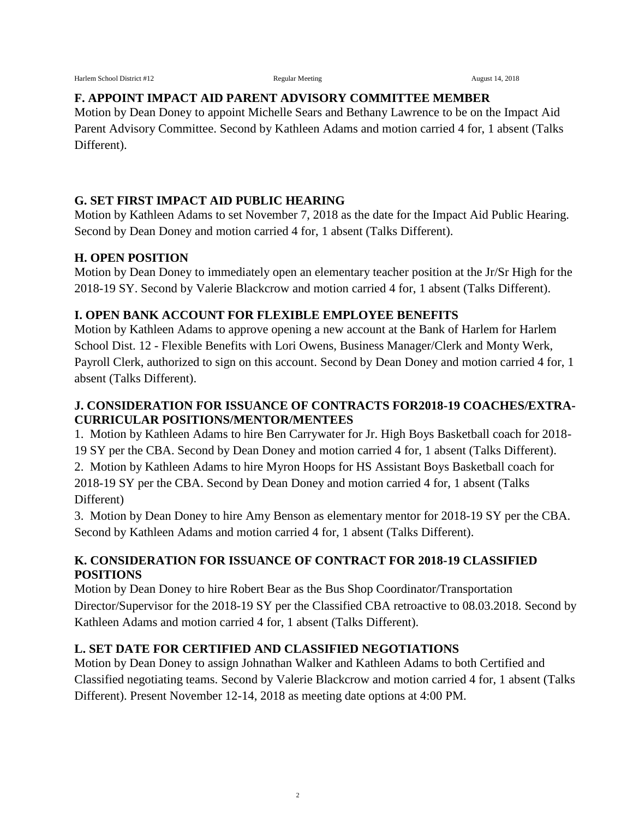# **F. APPOINT IMPACT AID PARENT ADVISORY COMMITTEE MEMBER**

Motion by Dean Doney to appoint Michelle Sears and Bethany Lawrence to be on the Impact Aid Parent Advisory Committee. Second by Kathleen Adams and motion carried 4 for, 1 absent (Talks Different).

### **G. SET FIRST IMPACT AID PUBLIC HEARING**

Motion by Kathleen Adams to set November 7, 2018 as the date for the Impact Aid Public Hearing. Second by Dean Doney and motion carried 4 for, 1 absent (Talks Different).

#### **H. OPEN POSITION**

Motion by Dean Doney to immediately open an elementary teacher position at the Jr/Sr High for the 2018-19 SY. Second by Valerie Blackcrow and motion carried 4 for, 1 absent (Talks Different).

## **I. OPEN BANK ACCOUNT FOR FLEXIBLE EMPLOYEE BENEFITS**

Motion by Kathleen Adams to approve opening a new account at the Bank of Harlem for Harlem School Dist. 12 - Flexible Benefits with Lori Owens, Business Manager/Clerk and Monty Werk, Payroll Clerk, authorized to sign on this account. Second by Dean Doney and motion carried 4 for, 1 absent (Talks Different).

## **J. CONSIDERATION FOR ISSUANCE OF CONTRACTS FOR2018-19 COACHES/EXTRA-CURRICULAR POSITIONS/MENTOR/MENTEES**

1. Motion by Kathleen Adams to hire Ben Carrywater for Jr. High Boys Basketball coach for 2018- 19 SY per the CBA. Second by Dean Doney and motion carried 4 for, 1 absent (Talks Different).

2. Motion by Kathleen Adams to hire Myron Hoops for HS Assistant Boys Basketball coach for 2018-19 SY per the CBA. Second by Dean Doney and motion carried 4 for, 1 absent (Talks Different)

3. Motion by Dean Doney to hire Amy Benson as elementary mentor for 2018-19 SY per the CBA. Second by Kathleen Adams and motion carried 4 for, 1 absent (Talks Different).

## **K. CONSIDERATION FOR ISSUANCE OF CONTRACT FOR 2018-19 CLASSIFIED POSITIONS**

Motion by Dean Doney to hire Robert Bear as the Bus Shop Coordinator/Transportation Director/Supervisor for the 2018-19 SY per the Classified CBA retroactive to 08.03.2018. Second by Kathleen Adams and motion carried 4 for, 1 absent (Talks Different).

## **L. SET DATE FOR CERTIFIED AND CLASSIFIED NEGOTIATIONS**

Motion by Dean Doney to assign Johnathan Walker and Kathleen Adams to both Certified and Classified negotiating teams. Second by Valerie Blackcrow and motion carried 4 for, 1 absent (Talks Different). Present November 12-14, 2018 as meeting date options at 4:00 PM.